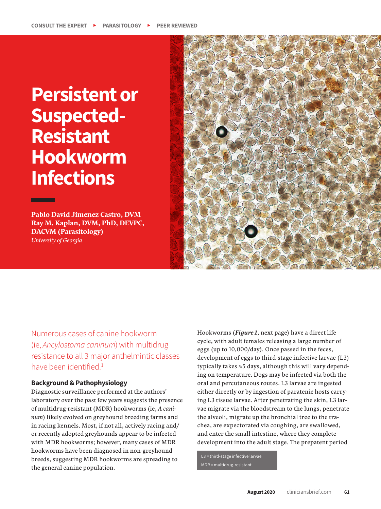# **Persistent or Suspected-Resistant Hookworm Infections**

**Pablo David Jimenez Castro, DVM Ray M. Kaplan, DVM, PhD, DEVPC, DACVM (Parasitology)**  *University of Georgia* 



Numerous cases of canine hookworm (ie, *Ancylostoma caninum*) with multidrug resistance to all 3 major anthelmintic classes have been identified.<sup>1</sup>

## **Background & Pathophysiology**

Diagnostic surveillance performed at the authors' laboratory over the past few years suggests the presence of multidrug-resistant (MDR) hookworms (ie, *A caninum*) likely evolved on greyhound breeding farms and in racing kennels. Most, if not all, actively racing and/ or recently adopted greyhounds appear to be infected with MDR hookworms; however, many cases of MDR hookworms have been diagnosed in non-greyhound breeds, suggesting MDR hookworms are spreading to the general canine population.

Hookworms (*Figure 1*, next page) have a direct life cycle, with adult females releasing a large number of eggs (up to 10,000/day). Once passed in the feces, development of eggs to third-stage infective larvae (L3) typically takes ≈5 days, although this will vary depending on temperature. Dogs may be infected via both the oral and percutaneous routes. L3 larvae are ingested either directly or by ingestion of paratenic hosts carrying L3 tissue larvae. After penetrating the skin, L3 larvae migrate via the bloodstream to the lungs, penetrate the alveoli, migrate up the bronchial tree to the trachea, are expectorated via coughing, are swallowed, and enter the small intestine, where they complete development into the adult stage. The prepatent period

L3 = third-stage infective larvae MDR = multidrug-resistant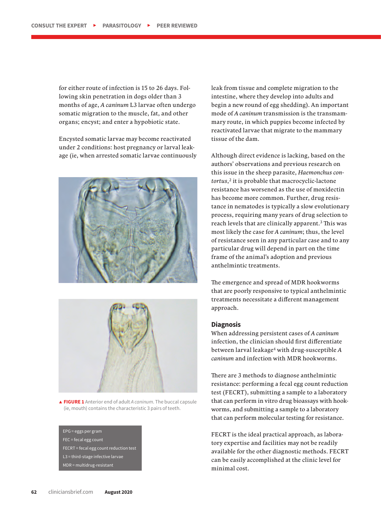for either route of infection is 15 to 26 days. Following skin penetration in dogs older than 3 months of age, *A caninum* L3 larvae often undergo somatic migration to the muscle, fat, and other organs; encyst; and enter a hypobiotic state.

Encysted somatic larvae may become reactivated under 2 conditions: host pregnancy or larval leakage (ie, when arrested somatic larvae continuously





d **FIGURE 1** Anterior end of adult *A caninum*. The buccal capsule (ie, mouth) contains the characteristic 3 pairs of teeth.

EPG = eggs per gram FEC = fecal egg count FECRT = fecal egg count reduction test L3 = third-stage infective larvae MDR = multidrug-resistant

leak from tissue and complete migration to the intestine, where they develop into adults and begin a new round of egg shedding). An important mode of *A caninum* transmission is the transmammary route, in which puppies become infected by reactivated larvae that migrate to the mammary tissue of the dam.

Although direct evidence is lacking, based on the authors' observations and previous research on this issue in the sheep parasite, *Haemonchus contortus*,<sup>2</sup> it is probable that macrocyclic-lactone resistance has worsened as the use of moxidectin has become more common. Further, drug resistance in nematodes is typically a slow evolutionary process, requiring many years of drug selection to reach levels that are clinically apparent.<sup>3</sup> This was most likely the case for *A caninum*; thus, the level of resistance seen in any particular case and to any particular drug will depend in part on the time frame of the animal's adoption and previous anthelmintic treatments.

The emergence and spread of MDR hookworms that are poorly responsive to typical anthelmintic treatments necessitate a different management approach.

#### **Diagnosis**

When addressing persistent cases of *A caninum*  infection, the clinician should first differentiate between larval leakage4 with drug-susceptible *A caninum* and infection with MDR hookworms.

There are 3 methods to diagnose anthelmintic resistance: performing a fecal egg count reduction test (FECRT), submitting a sample to a laboratory that can perform in vitro drug bioassays with hookworms, and submitting a sample to a laboratory that can perform molecular testing for resistance.

FECRT is the ideal practical approach, as laboratory expertise and facilities may not be readily available for the other diagnostic methods. FECRT can be easily accomplished at the clinic level for minimal cost.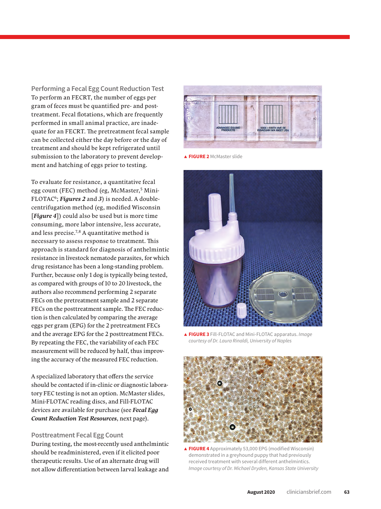**Performing a Fecal Egg Count Reduction Test** To perform an FECRT, the number of eggs per gram of feces must be quantified pre- and posttreatment. Fecal flotations, which are frequently performed in small animal practice, are inadequate for an FECRT. The pretreatment fecal sample can be collected either the day before or the day of treatment and should be kept refrigerated until submission to the laboratory to prevent development and hatching of eggs prior to testing.

To evaluate for resistance, a quantitative fecal egg count (FEC) method (eg, McMaster,<sup>5</sup> Mini-FLOTAC<sup>6</sup>; *Figures 2* and 3) is needed. A doublecentrifugation method (eg, modified Wisconsin [*Figure 4*]) could also be used but is more time consuming, more labor intensive, less accurate, and less precise.7,8 A quantitative method is necessary to assess response to treatment. This approach is standard for diagnosis of anthelmintic resistance in livestock nematode parasites, for which drug resistance has been a long-standing problem. Further, because only 1 dog is typically being tested, as compared with groups of 10 to 20 livestock, the authors also recommend performing 2 separate FECs on the pretreatment sample and 2 separate FECs on the posttreatment sample. The FEC reduction is then calculated by comparing the average eggs per gram (EPG) for the 2 pretreatment FECs and the average EPG for the 2 posttreatment FECs. By repeating the FEC, the variability of each FEC measurement will be reduced by half, thus improving the accuracy of the measured FEC reduction.

A specialized laboratory that offers the service should be contacted if in-clinic or diagnostic laboratory FEC testing is not an option. McMaster slides, Mini-FLOTAC reading discs, and Fill-FLOTAC devices are available for purchase (see *Fecal Egg Count Reduction Test Resources*, next page).

## **Posttreatment Fecal Egg Count**

During testing, the most-recently used anthelmintic should be readministered, even if it elicited poor therapeutic results. Use of an alternate drug will not allow differentiation between larval leakage and



d **FIGURE 2** McMaster slide



d **FIGURE 3** Fill-FLOTAC and Mini-FLOTAC apparatus. *Image courtesy of Dr. Laura Rinaldi, University of Naples*



▲ FIGURE 4 Approximately 53,000 EPG (modified Wisconsin) demonstrated in a greyhound puppy that had previously received treatment with several different anthelmintics. *Image courtesy of Dr. Michael Dryden, Kansas State University*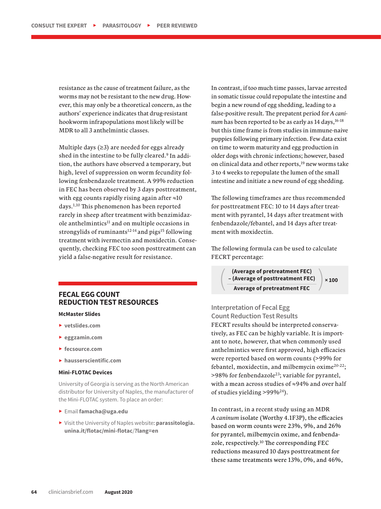resistance as the cause of treatment failure, as the worms may not be resistant to the new drug. However, this may only be a theoretical concern, as the authors' experience indicates that drug-resistant hookworm infrapopulations most likely will be MDR to all 3 anthelmintic classes.

Multiple days  $(\geq 3)$  are needed for eggs already shed in the intestine to be fully cleared.<sup>9</sup> In addition, the authors have observed a temporary, but high, level of suppression on worm fecundity following fenbendazole treatment. A 99% reduction in FEC has been observed by 3 days posttreatment, with egg counts rapidly rising again after ≈10 days.1,10 This phenomenon has been reported rarely in sheep after treatment with benzimidaz $ole$  anthelmintics<sup>11</sup> and on multiple occasions in strongylids of ruminants $12-14$  and pigs<sup>15</sup> following treatment with ivermectin and moxidectin. Consequently, checking FEC too soon posttreatment can yield a false-negative result for resistance.

## **FECAL EGG COUNT REDUCTION TEST RESOURCES**

#### **McMaster Slides**

- <sup>h</sup> **vetslides.com**
- <sup>h</sup> **eggzamin.com**
- <sup>h</sup> **fecsource.com**
- <sup>h</sup> **hausserscientific.com**

#### **Mini-FLOTAC Devices**

University of Georgia is serving as the North American distributor for University of Naples, the manufacturer of the Mini-FLOTAC system. To place an order:

- <sup>h</sup> Email **famacha@uga.edu**
- <sup>h</sup> Visit the University of Naples website: **parassitologia. unina.it/flotac/mini-flotac**/**?lang=en**

In contrast, if too much time passes, larvae arrested in somatic tissue could repopulate the intestine and begin a new round of egg shedding, leading to a false-positive result. The prepatent period for *A caninum* has been reported to be as early as 14 days,<sup>16-18</sup> but this time frame is from studies in immune-naive puppies following primary infection. Few data exist on time to worm maturity and egg production in older dogs with chronic infections; however, based on clinical data and other reports,<sup>19</sup> new worms take 3 to 4 weeks to repopulate the lumen of the small intestine and initiate a new round of egg shedding.

The following timeframes are thus recommended for posttreatment FEC: 10 to 14 days after treatment with pyrantel, 14 days after treatment with fenbendazole/febantel, and 14 days after treatment with moxidectin.

The following formula can be used to calculate FECRT percentage:

(**Average of pretreatment FEC**)<br>
- (Average of posttreatment FEC)<br>
Average of pretreatment FEC **– (Average of posttreatment FEC) Average of pretreatment FEC**

**× 100**

**Interpretation of Fecal Egg Count Reduction Test Results** FECRT results should be interpreted conservatively, as FEC can be highly variable. It is important to note, however, that when commonly used anthelmintics were first approved, high efficacies were reported based on worm counts (>99% for febantel, moxidectin, and milbemycin oxime<sup>20-22</sup>; >98% for fenbendazole23; variable for pyrantel, with a mean across studies of ≈94% and over half of studies yielding >99%24).

In contrast, in a recent study using an MDR *A caninum* isolate (Worthy 4.1F3P), the efficacies based on worm counts were 23%, 9%, and 26% for pyrantel, milbemycin oxime, and fenbendazole, respectively.10 The corresponding FEC reductions measured 10 days posttreatment for these same treatments were 13%, 0%, and 46%,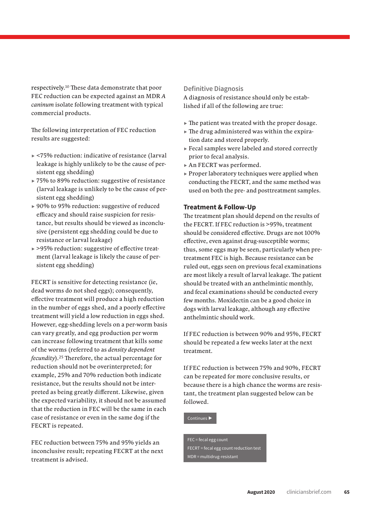respectively. 10 These data demonstrate that poor FEC reduction can be expected against an MDR *A caninum* isolate following treatment with typical commercial products.

The following interpretation of FEC reduction results are suggested:

- $\blacktriangleright$  <75% reduction: indicative of resistance (larval leakage is highly unlikely to be the cause of persistent egg shedding)
- $\triangleright$  75% to 89% reduction: suggestive of resistance (larval leakage is unlikely to be the cause of persistent egg shedding)
- $\approx 90\%$  to 95% reduction: suggestive of reduced efficacy and should raise suspicion for resistance, but results should be viewed as inconclusive (persistent egg shedding could be due to resistance or larval leakage)
- ► >95% reduction: suggestive of effective treatment (larval leakage is likely the cause of persistent egg shedding)

FECRT is sensitive for detecting resistance (ie, dead worms do not shed eggs); consequently, effective treatment will produce a high reduction in the number of eggs shed, and a poorly effective treatment will yield a low reduction in eggs shed. However, egg-shedding levels on a per-worm basis can vary greatly, and egg production per worm can increase following treatment that kills some of the worms (referred to as *density dependent fecundity*).25 Therefore, the actual percentage for reduction should not be overinterpreted; for example, 25% and 70% reduction both indicate resistance, but the results should not be interpreted as being greatly different. Likewise, given the expected variability, it should not be assumed that the reduction in FEC will be the same in each case of resistance or even in the same dog if the FECRT is repeated.

FEC reduction between 75% and 95% yields an inconclusive result; repeating FECRT at the next treatment is advised.

### **Definitive Diagnosis**

A diagnosis of resistance should only be established if all of the following are true:

- $\blacktriangleright$  The patient was treated with the proper dosage.
- $\blacktriangleright$  The drug administered was within the expiration date and stored properly.
- $\blacktriangleright$  Fecal samples were labeled and stored correctly prior to fecal analysis.
- $\triangleright$  An FECRT was performed.
- $\triangleright$  Proper laboratory techniques were applied when conducting the FECRT, and the same method was used on both the pre- and posttreatment samples.

#### **Treatment & Follow-Up**

The treatment plan should depend on the results of the FECRT. If FEC reduction is >95%, treatment should be considered effective. Drugs are not 100% effective, even against drug-susceptible worms; thus, some eggs may be seen, particularly when pretreatment FEC is high. Because resistance can be ruled out, eggs seen on previous fecal examinations are most likely a result of larval leakage. The patient should be treated with an anthelmintic monthly, and fecal examinations should be conducted every few months. Moxidectin can be a good choice in dogs with larval leakage, although any effective anthelmintic should work.

If FEC reduction is between 90% and 95%, FECRT should be repeated a few weeks later at the next treatment.

If FEC reduction is between 75% and 90%, FECRT can be repeated for more conclusive results, or because there is a high chance the worms are resistant, the treatment plan suggested below can be followed.

Continues  $\blacktriangleright$ 

FEC = fecal egg count FECRT = fecal egg count reduction test MDR = multidrug-resistant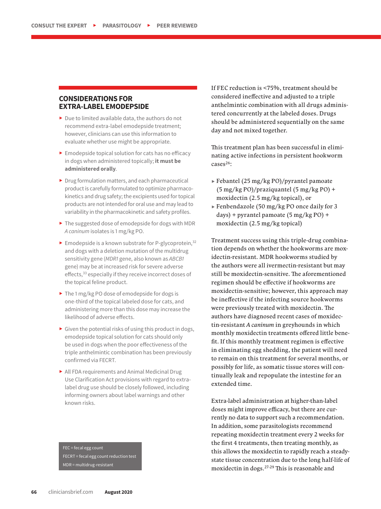## **CONSIDERATIONS FOR EXTRA-LABEL EMODEPSIDE**

- $\triangleright$  Due to limited available data, the authors do not recommend extra-label emodepside treatment; however, clinicians can use this information to evaluate whether use might be appropriate.
- $\blacktriangleright$  Emodepside topical solution for cats has no efficacy in dogs when administered topically; **it must be administered orally**.
- $\blacktriangleright$  Drug formulation matters, and each pharmaceutical product is carefully formulated to optimize pharmacokinetics and drug safety; the excipients used for topical products are not intended for oral use and may lead to variability in the pharmacokinetic and safety profiles.
- $\blacktriangleright$  The suggested dose of emodepside for dogs with MDR *A caninum* isolates is 1 mg/kg PO.
- $\blacktriangleright$  Emodepside is a known substrate for P-glycoprotein,  $32$ and dogs with a deletion mutation of the multidrug sensitivity gene (*MDR1* gene, also known as *ABCB1* gene) may be at increased risk for severe adverse effects,<sup>33</sup> especially if they receive incorrect doses of the topical feline product.
- ▶ The 1 mg/kg PO dose of emodepside for dogs is one-third of the topical labeled dose for cats, and administering more than this dose may increase the likelihood of adverse effects.
- $\triangleright$  Given the potential risks of using this product in dogs, emodepside topical solution for cats should only be used in dogs when the poor effectiveness of the triple anthelmintic combination has been previously confirmed via FECRT.
- ▶ All FDA requirements and Animal Medicinal Drug Use Clarification Act provisions with regard to extralabel drug use should be closely followed, including informing owners about label warnings and other known risks.

FEC = fecal egg count FECRT = fecal egg count reduction test MDR = multidrug-resistant

If FEC reduction is <75%, treatment should be considered ineffective and adjusted to a triple anthelmintic combination with all drugs administered concurrently at the labeled doses. Drugs should be administered sequentially on the same day and not mixed together.

This treatment plan has been successful in eliminating active infections in persistent hookworm cases<sup>26</sup>:

- $\blacktriangleright$  Febantel (25 mg/kg PO)/pyrantel pamoate  $(5 \text{ mg/kg PO})/praziquantel (5 \text{ mg/kg PO}) +$ moxidectin (2.5 mg/kg topical), or
- $\blacktriangleright$  Fenbendazole (50 mg/kg PO once daily for 3 days) + pyrantel pamoate (5 mg/kg PO) + moxidectin (2.5 mg/kg topical)

Treatment success using this triple-drug combination depends on whether the hookworms are moxidectin-resistant. MDR hookworms studied by the authors were all ivermectin-resistant but may still be moxidectin-sensitive. The aforementioned regimen should be effective if hookworms are moxidectin-sensitive; however, this approach may be ineffective if the infecting source hookworms were previously treated with moxidectin. The authors have diagnosed recent cases of moxidectin-resistant *A caninum* in greyhounds in which monthly moxidectin treatments offered little benefit. If this monthly treatment regimen is effective in eliminating egg shedding, the patient will need to remain on this treatment for several months, or possibly for life, as somatic tissue stores will continually leak and repopulate the intestine for an extended time.

Extra-label administration at higher-than-label doses might improve efficacy, but there are currently no data to support such a recommendation. In addition, some parasitologists recommend repeating moxidectin treatment every 2 weeks for the first 4 treatments, then treating monthly, as this allows the moxidectin to rapidly reach a steadystate tissue concentration due to the long half-life of moxidectin in dogs.27-29 This is reasonable and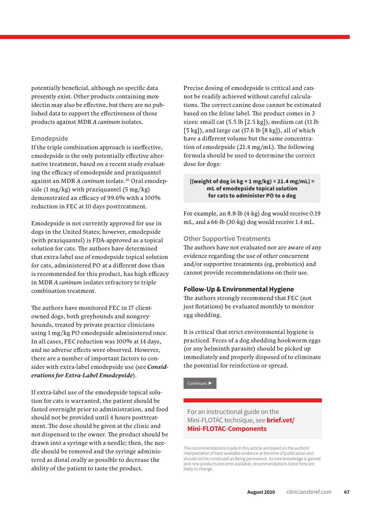potentially beneficial, although no specific data presently exist. Other products containing moxidectin may also be effective, but there are no published data to support the effectiveness of those products against MDR *A caninum* isolates.

#### **Emodepside**

If the triple combination approach is ineffective, emodepside is the only potentially effective alternative treatment, based on a recent study evaluating the efficacy of emodepside and praziquantel against an MDR *A caninum* isolate.10 Oral emodepside  $(1 \text{ mg/kg})$  with praziquantel  $(5 \text{ mg/kg})$ demonstrated an efficacy of 99.6% with a 100% reduction in FEC at 10 days posttreatment.

Emodepside is not currently approved for use in dogs in the United States; however, emodepside (with praziquantel) is FDA-approved as a topical solution for cats. The authors have determined that extra-label use of emodepside topical solution for cats, administered PO at a different dose than is recommended for this product, has high efficacy in MDR *A caninum* isolates refractory to triple combination treatment.

The authors have monitored FEC in 17 clientowned dogs, both greyhounds and nongreyhounds, treated by private practice clinicians using 1 mg/kg PO emodepside administered once. In all cases, FEC reduction was 100% at 14 days, and no adverse effects were observed. However, there are a number of important factors to consider with extra-label emodepside use (see *Considerations for Extra-Label Emodepside*).

If extra-label use of the emodepside topical solution for cats is warranted, the patient should be fasted overnight prior to administration, and food should not be provided until 4 hours posttreatment. The dose should be given at the clinic and not dispensed to the owner. The product should be drawn into a syringe with a needle; then, the needle should be removed and the syringe administered as distal orally as possible to decrease the ability of the patient to taste the product.

Precise dosing of emodepside is critical and cannot be readily achieved without careful calculations. The correct canine dose cannot be estimated based on the feline label. The product comes in 3 sizes: small cat (5.5 lb [2.5 kg]), medium cat (11 lb  $[5 \text{ kg}]$ ), and large cat (17.6 lb  $[8 \text{ kg}]$ ), all of which have a different volume but the same concentration of emodepside (21.4 mg/mL). The following formula should be used to determine the correct dose for dogs:

#### **[(weight of dog in kg × 1 mg/kg) ÷ 21.4 mg/mL] = mL of emodepside topical solution for cats to administer PO to a dog**

For example, an 8.8-lb (4-kg) dog would receive 0.19 mL, and a 66-lb (30-kg) dog would receive 1.4 mL.

### **Other Supportive Treatments**

The authors have not evaluated nor are aware of any evidence regarding the use of other concurrent and/or supportive treatments (eg, probiotics) and cannot provide recommendations on their use.

## **Follow-Up & Environmental Hygiene**

The authors strongly recommend that FEC (not just flotations) be evaluated monthly to monitor egg shedding.

It is critical that strict environmental hygiene is practiced. Feces of a dog shedding hookworm eggs (or any helminth parasite) should be picked up immediately and properly disposed of to eliminate the potential for reinfection or spread.

Continues I

For an instructional guide on the Mini-FLOTAC technique, see **brief.vet/ Mini-FLOTAC-Components**

The recommendations made in this article are based on the authors' interpretation of best available evidence at the time of publication and should not be construed as being permanent. As new knowledge is gained and new products become available, recommendations listed here are likely to change.